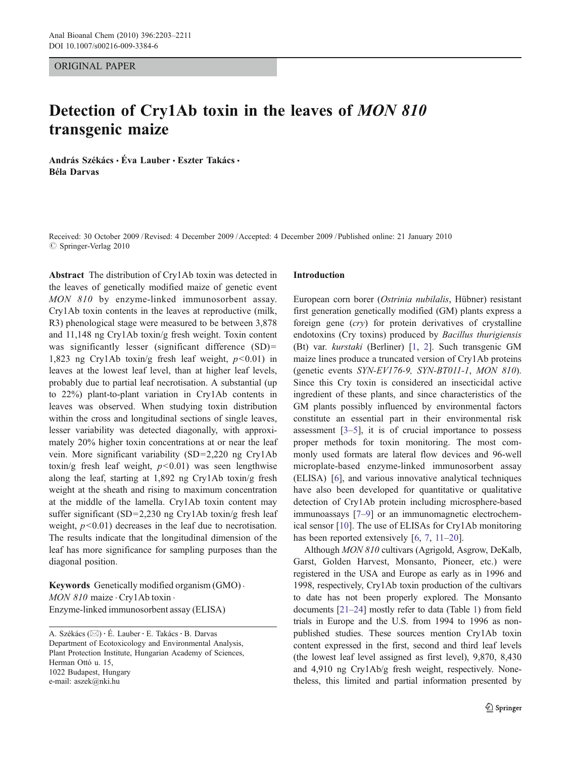#### ORIGINAL PAPER

# Detection of Cry1Ab toxin in the leaves of MON 810 transgenic maize

András Székács • Éva Lauber • Eszter Takács • Béla Darvas

Received: 30 October 2009 /Revised: 4 December 2009 /Accepted: 4 December 2009 / Published online: 21 January 2010  $\oslash$  Springer-Verlag 2010

Abstract The distribution of Cry1Ab toxin was detected in the leaves of genetically modified maize of genetic event MON 810 by enzyme-linked immunosorbent assay. Cry1Ab toxin contents in the leaves at reproductive (milk, R3) phenological stage were measured to be between 3,878 and 11,148 ng Cry1Ab toxin/g fresh weight. Toxin content was significantly lesser (significant difference (SD)= 1,823 ng Cry1Ab toxin/g fresh leaf weight,  $p<0.01$ ) in leaves at the lowest leaf level, than at higher leaf levels, probably due to partial leaf necrotisation. A substantial (up to 22%) plant-to-plant variation in Cry1Ab contents in leaves was observed. When studying toxin distribution within the cross and longitudinal sections of single leaves, lesser variability was detected diagonally, with approximately 20% higher toxin concentrations at or near the leaf vein. More significant variability (SD=2,220 ng Cry1Ab toxin/g fresh leaf weight,  $p < 0.01$ ) was seen lengthwise along the leaf, starting at 1,892 ng Cry1Ab toxin/g fresh weight at the sheath and rising to maximum concentration at the middle of the lamella. Cry1Ab toxin content may suffer significant (SD=2,230 ng Cry1Ab toxin/g fresh leaf weight,  $p<0.01$ ) decreases in the leaf due to necrotisation. The results indicate that the longitudinal dimension of the leaf has more significance for sampling purposes than the diagonal position.

Keywords Genetically modified organism (GMO) . MON 810 maize · Cry1Ab toxin · Enzyme-linked immunosorbent assay (ELISA)

A. Székács (*\**) : É. Lauber : E. Takács: B. Darvas Department of Ecotoxicology and Environmental Analysis, Plant Protection Institute, Hungarian Academy of Sciences, Herman Ottó u. 15, 1022 Budapest, Hungary e-mail: aszek@nki.hu

#### Introduction

European corn borer (Ostrinia nubilalis, Hübner) resistant first generation genetically modified (GM) plants express a foreign gene (cry) for protein derivatives of crystalline endotoxins (Cry toxins) produced by Bacillus thurigiensis (Bt) var. kurstaki (Berliner) [[1,](#page-7-0) [2](#page-7-0)]. Such transgenic GM maize lines produce a truncated version of Cry1Ab proteins (genetic events SYN-EV176-9, SYN-BT011-1, MON 810). Since this Cry toxin is considered an insecticidal active ingredient of these plants, and since characteristics of the GM plants possibly influenced by environmental factors constitute an essential part in their environmental risk assessment [\[3](#page-7-0)–[5](#page-7-0)], it is of crucial importance to possess proper methods for toxin monitoring. The most commonly used formats are lateral flow devices and 96-well microplate-based enzyme-linked immunosorbent assay (ELISA) [[6\]](#page-7-0), and various innovative analytical techniques have also been developed for quantitative or qualitative detection of Cry1Ab protein including microsphere-based immunoassays [[7](#page-7-0)–[9\]](#page-7-0) or an immunomagnetic electrochemical sensor [\[10](#page-7-0)]. The use of ELISAs for Cry1Ab monitoring has been reported extensively [\[6](#page-7-0), [7](#page-7-0), [11](#page-7-0)–[20](#page-7-0)].

Although MON 810 cultivars (Agrigold, Asgrow, DeKalb, Garst, Golden Harvest, Monsanto, Pioneer, etc.) were registered in the USA and Europe as early as in 1996 and 1998, respectively, Cry1Ab toxin production of the cultivars to date has not been properly explored. The Monsanto documents [[21](#page-7-0)–[24\]](#page-7-0) mostly refer to data (Table [1](#page-2-0)) from field trials in Europe and the U.S. from 1994 to 1996 as nonpublished studies. These sources mention Cry1Ab toxin content expressed in the first, second and third leaf levels (the lowest leaf level assigned as first level), 9,870, 8,430 and 4,910 ng Cry1Ab/g fresh weight, respectively. Nonetheless, this limited and partial information presented by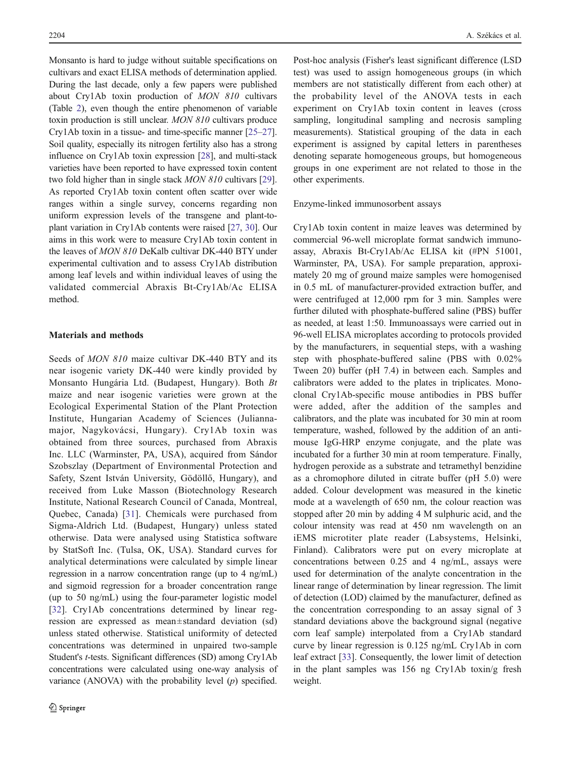Monsanto is hard to judge without suitable specifications on cultivars and exact ELISA methods of determination applied. During the last decade, only a few papers were published about Cry1Ab toxin production of MON 810 cultivars (Table [2\)](#page-2-0), even though the entire phenomenon of variable toxin production is still unclear. MON 810 cultivars produce Cry1Ab toxin in a tissue- and time-specific manner [\[25](#page-7-0)–[27\]](#page-7-0). Soil quality, especially its nitrogen fertility also has a strong influence on Cry1Ab toxin expression [[28](#page-7-0)], and multi-stack varieties have been reported to have expressed toxin content two fold higher than in single stack *MON 810* cultivars [[29\]](#page-7-0). As reported Cry1Ab toxin content often scatter over wide ranges within a single survey, concerns regarding non uniform expression levels of the transgene and plant-toplant variation in Cry1Ab contents were raised [[27](#page-7-0), [30](#page-8-0)]. Our aims in this work were to measure Cry1Ab toxin content in the leaves of MON 810 DeKalb cultivar DK-440 BTY under experimental cultivation and to assess Cry1Ab distribution among leaf levels and within individual leaves of using the validated commercial Abraxis Bt-Cry1Ab/Ac ELISA method.

## Materials and methods

Seeds of MON 810 maize cultivar DK-440 BTY and its near isogenic variety DK-440 were kindly provided by Monsanto Hungária Ltd. (Budapest, Hungary). Both Bt maize and near isogenic varieties were grown at the Ecological Experimental Station of the Plant Protection Institute, Hungarian Academy of Sciences (Juliannamajor, Nagykovácsi, Hungary). Cry1Ab toxin was obtained from three sources, purchased from Abraxis Inc. LLC (Warminster, PA, USA), acquired from Sándor Szobszlay (Department of Environmental Protection and Safety, Szent István University, Gödöllő, Hungary), and received from Luke Masson (Biotechnology Research Institute, National Research Council of Canada, Montreal, Quebec, Canada) [\[31](#page-8-0)]. Chemicals were purchased from Sigma-Aldrich Ltd. (Budapest, Hungary) unless stated otherwise. Data were analysed using Statistica software by StatSoft Inc. (Tulsa, OK, USA). Standard curves for analytical determinations were calculated by simple linear regression in a narrow concentration range (up to 4 ng/mL) and sigmoid regression for a broader concentration range (up to 50 ng/mL) using the four-parameter logistic model [\[32](#page-8-0)]. Cry1Ab concentrations determined by linear regression are expressed as mean±standard deviation (sd) unless stated otherwise. Statistical uniformity of detected concentrations was determined in unpaired two-sample Student's t-tests. Significant differences (SD) among Cry1Ab concentrations were calculated using one-way analysis of variance (ANOVA) with the probability level  $(p)$  specified.

Post-hoc analysis (Fisher's least significant difference (LSD test) was used to assign homogeneous groups (in which members are not statistically different from each other) at the probability level of the ANOVA tests in each experiment on Cry1Ab toxin content in leaves (cross sampling, longitudinal sampling and necrosis sampling measurements). Statistical grouping of the data in each experiment is assigned by capital letters in parentheses denoting separate homogeneous groups, but homogeneous groups in one experiment are not related to those in the other experiments.

Enzyme-linked immunosorbent assays

Cry1Ab toxin content in maize leaves was determined by commercial 96-well microplate format sandwich immunoassay, Abraxis Bt-Cry1Ab/Ac ELISA kit (#PN 51001, Warminster, PA, USA). For sample preparation, approximately 20 mg of ground maize samples were homogenised in 0.5 mL of manufacturer-provided extraction buffer, and were centrifuged at 12,000 rpm for 3 min. Samples were further diluted with phosphate-buffered saline (PBS) buffer as needed, at least 1:50. Immunoassays were carried out in 96-well ELISA microplates according to protocols provided by the manufacturers, in sequential steps, with a washing step with phosphate-buffered saline (PBS with 0.02% Tween 20) buffer (pH 7.4) in between each. Samples and calibrators were added to the plates in triplicates. Monoclonal Cry1Ab-specific mouse antibodies in PBS buffer were added, after the addition of the samples and calibrators, and the plate was incubated for 30 min at room temperature, washed, followed by the addition of an antimouse IgG-HRP enzyme conjugate, and the plate was incubated for a further 30 min at room temperature. Finally, hydrogen peroxide as a substrate and tetramethyl benzidine as a chromophore diluted in citrate buffer (pH 5.0) were added. Colour development was measured in the kinetic mode at a wavelength of 650 nm, the colour reaction was stopped after 20 min by adding 4 M sulphuric acid, and the colour intensity was read at 450 nm wavelength on an iEMS microtiter plate reader (Labsystems, Helsinki, Finland). Calibrators were put on every microplate at concentrations between 0.25 and 4 ng/mL, assays were used for determination of the analyte concentration in the linear range of determination by linear regression. The limit of detection (LOD) claimed by the manufacturer, defined as the concentration corresponding to an assay signal of 3 standard deviations above the background signal (negative corn leaf sample) interpolated from a Cry1Ab standard curve by linear regression is 0.125 ng/mL Cry1Ab in corn leaf extract [[33\]](#page-8-0). Consequently, the lower limit of detection in the plant samples was 156 ng Cry1Ab toxin/g fresh weight.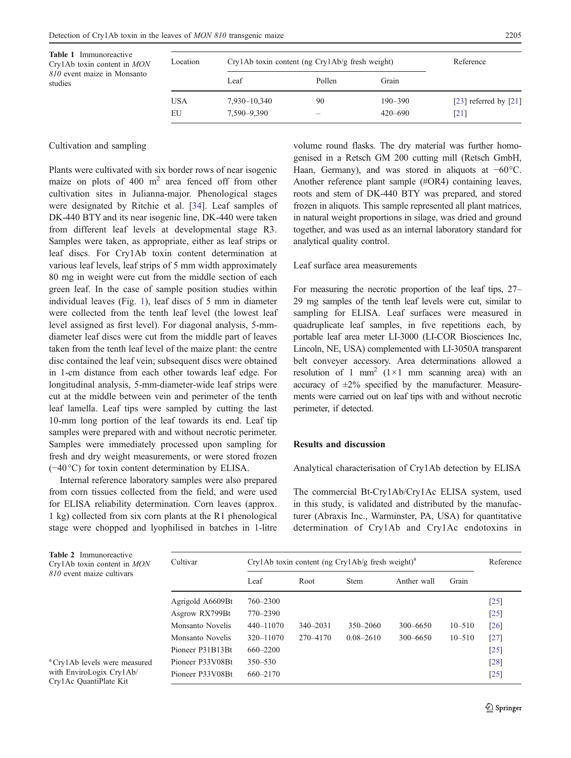<span id="page-2-0"></span>

| <b>Table 1</b> Immunoreactive<br>Cry1Ab toxin content in <i>MON</i> | Location   | $Cry1Ab$ toxin content (ng $Cry1Ab/g$ fresh weight) | Reference |             |                         |
|---------------------------------------------------------------------|------------|-----------------------------------------------------|-----------|-------------|-------------------------|
| 810 event maize in Monsanto<br>studies                              |            | Leaf                                                | Pollen    | Grain       |                         |
|                                                                     | <b>USA</b> | 7,930–10,340                                        | 90        | $190 - 390$ | [23] referred by $[21]$ |
|                                                                     | EU         | 7,590–9,390                                         | -         | $420 - 690$ | [21]                    |

## Cultivation and sampling

Plants were cultivated with six border rows of near isogenic maize on plots of  $400 \text{ m}^2$  area fenced off from other cultivation sites in Julianna-major. Phenological stages were designated by Ritchie et al. [[34\]](#page-8-0). Leaf samples of DK-440 BTY and its near isogenic line, DK-440 were taken from different leaf levels at developmental stage R3. Samples were taken, as appropriate, either as leaf strips or leaf discs. For Cry1Ab toxin content determination at various leaf levels, leaf strips of 5 mm width approximately 80 mg in weight were cut from the middle section of each green leaf. In the case of sample position studies within individual leaves (Fig. [1](#page-3-0)), leaf discs of 5 mm in diameter were collected from the tenth leaf level (the lowest leaf level assigned as first level). For diagonal analysis, 5-mmdiameter leaf discs were cut from the middle part of leaves taken from the tenth leaf level of the maize plant: the centre disc contained the leaf vein; subsequent discs were obtained in 1-cm distance from each other towards leaf edge. For longitudinal analysis, 5-mm-diameter-wide leaf strips were cut at the middle between vein and perimeter of the tenth leaf lamella. Leaf tips were sampled by cutting the last 10-mm long portion of the leaf towards its end. Leaf tip samples were prepared with and without necrotic perimeter. Samples were immediately processed upon sampling for fresh and dry weight measurements, or were stored frozen (−40°C) for toxin content determination by ELISA.

Internal reference laboratory samples were also prepared from corn tissues collected from the field, and were used for ELISA reliability determination. Corn leaves (approx. 1 kg) collected from six corn plants at the R1 phenological stage were chopped and lyophilised in batches in 1-litre

**Table** 

volume round flasks. The dry material was further homogenised in a Retsch GM 200 cutting mill (Retsch GmbH, Haan, Germany), and was stored in aliquots at −60°C. Another reference plant sample (#OR4) containing leaves, roots and stem of DK-440 BTY was prepared, and stored frozen in aliquots. This sample represented all plant matrices, in natural weight proportions in silage, was dried and ground together, and was used as an internal laboratory standard for analytical quality control.

# Leaf surface area measurements

For measuring the necrotic proportion of the leaf tips, 27– 29 mg samples of the tenth leaf levels were cut, similar to sampling for ELISA. Leaf surfaces were measured in quadruplicate leaf samples, in five repetitions each, by portable leaf area meter LI-3000 (LI-COR Biosciences Inc, Lincoln, NE, USA) complemented with LI-3050A transparent belt conveyer accessory. Area determinations allowed a resolution of 1 mm<sup>2</sup> (1×1 mm scanning area) with an accuracy of  $\pm 2\%$  specified by the manufacturer. Measurements were carried out on leaf tips with and without necrotic perimeter, if detected.

## Results and discussion

## Analytical characterisation of Cry1Ab detection by ELISA

The commercial Bt-Cry1Ab/Cry1Ac ELISA system, used in this study, is validated and distributed by the manufacturer (Abraxis Inc., Warminster, PA, USA) for quantitative determination of Cry1Ab and Cry1Ac endotoxins in

| <b>Table 2</b> Immunoreactive<br>Cry1Ab toxin content in <i>MON</i><br>810 event maize cultivars | Cultivar         | Cry1Ab toxin content (ng Cry1Ab/g fresh weight) <sup>a</sup> |              |               |              |            | Reference |
|--------------------------------------------------------------------------------------------------|------------------|--------------------------------------------------------------|--------------|---------------|--------------|------------|-----------|
|                                                                                                  |                  | Leaf                                                         | Root         | <b>Stem</b>   | Anther wall  | Grain      |           |
|                                                                                                  | Agrigold A6609Bt | 760-2300                                                     |              |               |              |            | [25]      |
|                                                                                                  | Asgrow RX799Bt   | 770-2390                                                     |              |               |              |            | $[25]$    |
|                                                                                                  | Monsanto Novelis | 440-11070                                                    | $340 - 2031$ | $350 - 2060$  | $300 - 6650$ | $10 - 510$ | [26]      |
|                                                                                                  | Monsanto Novelis | $320 - 11070$                                                | 270–4170     | $0.08 - 2610$ | 300-6650     | $10 - 510$ | $[27]$    |
|                                                                                                  | Pioneer P31B13Bt | $660 - 2200$                                                 |              |               |              |            | $[25]$    |
| <sup>a</sup> Cry1Ab levels were measured<br>with EnviroLogix Cry1Ab/<br>Cry1Ac QuantiPlate Kit   | Pioneer P33V08Bt | $350 - 530$                                                  |              |               |              |            | [28]      |
|                                                                                                  | Pioneer P33V08Bt | 660-2170                                                     |              |               |              |            | $[25]$    |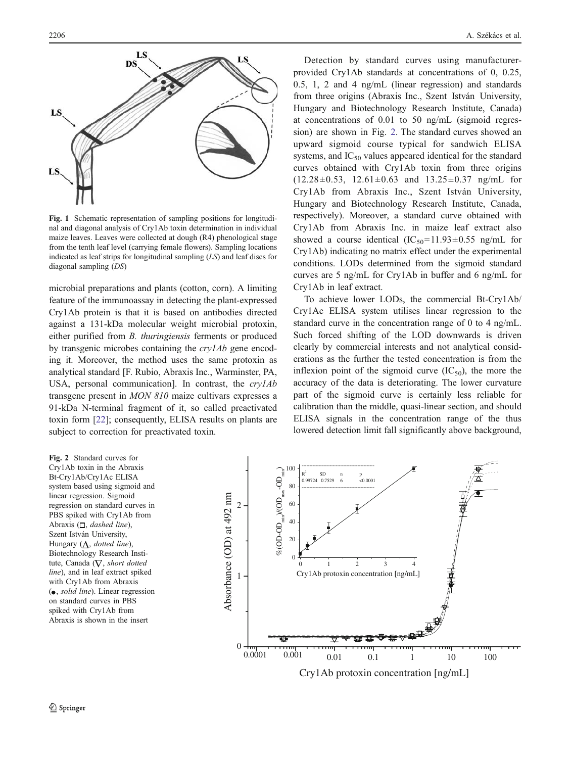<span id="page-3-0"></span>

Fig. 1 Schematic representation of sampling positions for longitudinal and diagonal analysis of Cry1Ab toxin determination in individual maize leaves. Leaves were collected at dough (R4) phenological stage from the tenth leaf level (carrying female flowers). Sampling locations indicated as leaf strips for longitudinal sampling  $(LS)$  and leaf discs for diagonal sampling (DS)

microbial preparations and plants (cotton, corn). A limiting feature of the immunoassay in detecting the plant-expressed Cry1Ab protein is that it is based on antibodies directed against a 131-kDa molecular weight microbial protoxin, either purified from B. thuringiensis ferments or produced by transgenic microbes containing the cry1Ab gene encoding it. Moreover, the method uses the same protoxin as analytical standard [F. Rubio, Abraxis Inc., Warminster, PA, USA, personal communication]. In contrast, the  $crv1Ab$ transgene present in MON 810 maize cultivars expresses a 91-kDa N-terminal fragment of it, so called preactivated toxin form [\[22](#page-7-0)]; consequently, ELISA results on plants are subject to correction for preactivated toxin.

Detection by standard curves using manufacturerprovided Cry1Ab standards at concentrations of 0, 0.25, 0.5, 1, 2 and 4 ng/mL (linear regression) and standards from three origins (Abraxis Inc., Szent István University, Hungary and Biotechnology Research Institute, Canada) at concentrations of 0.01 to 50 ng/mL (sigmoid regression) are shown in Fig. 2. The standard curves showed an upward sigmoid course typical for sandwich ELISA systems, and  $IC_{50}$  values appeared identical for the standard curves obtained with Cry1Ab toxin from three origins  $(12.28\pm0.53, 12.61\pm0.63 \text{ and } 13.25\pm0.37 \text{ ng/mL}$  for Cry1Ab from Abraxis Inc., Szent István University, Hungary and Biotechnology Research Institute, Canada, respectively). Moreover, a standard curve obtained with Cry1Ab from Abraxis Inc. in maize leaf extract also showed a course identical  $(IC_{50}=11.93\pm0.55 \text{ ng/mL}$  for Cry1Ab) indicating no matrix effect under the experimental conditions. LODs determined from the sigmoid standard curves are 5 ng/mL for Cry1Ab in buffer and 6 ng/mL for Cry1Ab in leaf extract.

To achieve lower LODs, the commercial Bt-Cry1Ab/ Cry1Ac ELISA system utilises linear regression to the standard curve in the concentration range of 0 to 4 ng/mL. Such forced shifting of the LOD downwards is driven clearly by commercial interests and not analytical considerations as the further the tested concentration is from the inflexion point of the sigmoid curve  $(IC_{50})$ , the more the accuracy of the data is deteriorating. The lower curvature part of the sigmoid curve is certainly less reliable for calibration than the middle, quasi-linear section, and should ELISA signals in the concentration range of the thus lowered detection limit fall significantly above background,

Fig. 2 Standard curves for Cry1Ab toxin in the Abraxis Bt-Cry1Ab/Cry1Ac ELISA system based using sigmoid and linear regression. Sigmoid regression on standard curves in PBS spiked with Cry1Ab from Abraxis  $(\Box, \text{ dashed line}),$ Szent István University, Hungary  $(\Delta, dotted line)$ , Biotechnology Research Institute, Canada ( $\nabla$ , short dotted line), and in leaf extract spiked with Cry1Ab from Abraxis  $( \bullet, solid line).$  Linear regression on standard curves in PBS spiked with Cry1Ab from Abraxis is shown in the insert

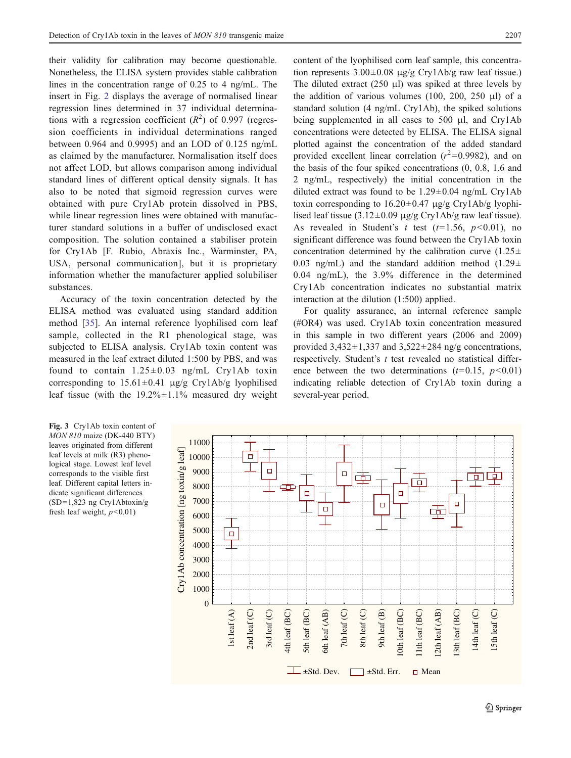<span id="page-4-0"></span>their validity for calibration may become questionable. Nonetheless, the ELISA system provides stable calibration lines in the concentration range of 0.25 to 4 ng/mL. The insert in Fig. [2](#page-3-0) displays the average of normalised linear regression lines determined in 37 individual determinations with a regression coefficient  $(R^2)$  of 0.997 (regression coefficients in individual determinations ranged between 0.964 and 0.9995) and an LOD of 0.125 ng/mL as claimed by the manufacturer. Normalisation itself does not affect LOD, but allows comparison among individual standard lines of different optical density signals. It has also to be noted that sigmoid regression curves were obtained with pure Cry1Ab protein dissolved in PBS, while linear regression lines were obtained with manufacturer standard solutions in a buffer of undisclosed exact composition. The solution contained a stabiliser protein for Cry1Ab [F. Rubio, Abraxis Inc., Warminster, PA, USA, personal communication], but it is proprietary information whether the manufacturer applied solubiliser substances.

Accuracy of the toxin concentration detected by the ELISA method was evaluated using standard addition method [[35\]](#page-8-0). An internal reference lyophilised corn leaf sample, collected in the R1 phenological stage, was subjected to ELISA analysis. Cry1Ab toxin content was measured in the leaf extract diluted 1:500 by PBS, and was found to contain  $1.25 \pm 0.03$  ng/mL Cry1Ab toxin corresponding to  $15.61 \pm 0.41$  μg/g Cry1Ab/g lyophilised leaf tissue (with the  $19.2\% \pm 1.1\%$  measured dry weight content of the lyophilised corn leaf sample, this concentration represents  $3.00 \pm 0.08$  μg/g Cry1Ab/g raw leaf tissue.) The diluted extract  $(250 \text{ µl})$  was spiked at three levels by the addition of various volumes (100, 200, 250 μl) of a standard solution (4 ng/mL Cry1Ab), the spiked solutions being supplemented in all cases to 500 μl, and Cry1Ab concentrations were detected by ELISA. The ELISA signal plotted against the concentration of the added standard provided excellent linear correlation ( $r^2$ =0.9982), and on the basis of the four spiked concentrations (0, 0.8, 1.6 and 2 ng/mL, respectively) the initial concentration in the diluted extract was found to be  $1.29 \pm 0.04$  ng/mL Cry1Ab toxin corresponding to  $16.20 \pm 0.47$  μg/g Cry1Ab/g lyophilised leaf tissue  $(3.12\pm0.09 \text{ µg/g}$  Cry1Ab/g raw leaf tissue). As revealed in Student's t test  $(t=1.56, p<0.01)$ , no significant difference was found between the Cry1Ab toxin concentration determined by the calibration curve  $(1.25 \pm$ 0.03 ng/mL) and the standard addition method  $(1.29 \pm$ 0.04 ng/mL), the 3.9% difference in the determined Cry1Ab concentration indicates no substantial matrix interaction at the dilution (1:500) applied.

For quality assurance, an internal reference sample (#OR4) was used. Cry1Ab toxin concentration measured in this sample in two different years (2006 and 2009) provided  $3,432\pm1,337$  and  $3,522\pm284$  ng/g concentrations, respectively. Student's  $t$  test revealed no statistical difference between the two determinations  $(t=0.15, p<0.01)$ indicating reliable detection of Cry1Ab toxin during a several-year period.

Fig. 3 Cry1Ab toxin content of MON 810 maize (DK-440 BTY) leaves originated from different leaf levels at milk (R3) phenological stage. Lowest leaf level corresponds to the visible first leaf. Different capital letters indicate significant differences (SD=1,823 ng Cry1Abtoxin/g fresh leaf weight,  $p < 0.01$ )

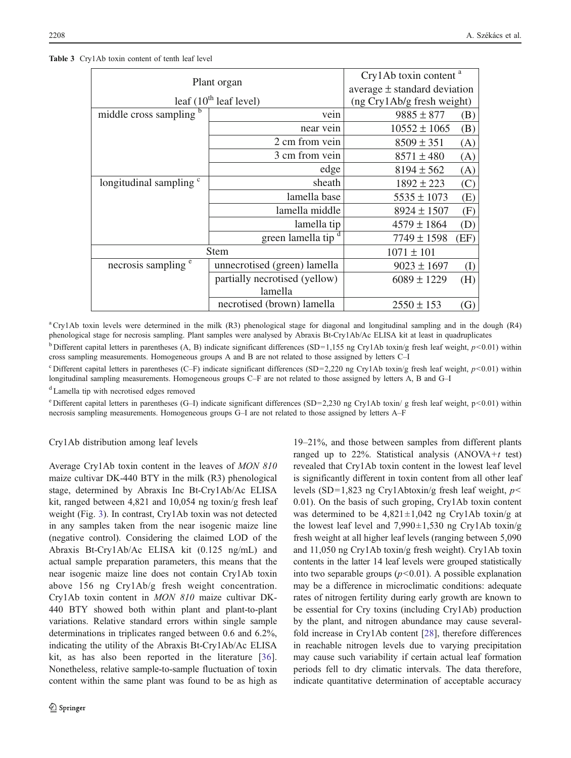<span id="page-5-0"></span>

| Table 3 Cry1Ab toxin content of tenth leaf level |  |
|--------------------------------------------------|--|
|--------------------------------------------------|--|

| Plant organ                        | Cry1Ab toxin content <sup>a</sup> |                  |                   |
|------------------------------------|-----------------------------------|------------------|-------------------|
|                                    | average $\pm$ standard deviation  |                  |                   |
| leaf $(10^{th}$ leaf level)        | $($ ng Cry $1$ Ab/g fresh weight) |                  |                   |
| middle cross sampling b            | vein                              | $9885 \pm 877$   | (B)               |
|                                    | near vein                         | $10552 \pm 1065$ | (B)               |
|                                    | 2 cm from vein                    | $8509 \pm 351$   | (A)               |
|                                    | 3 cm from vein                    | $8571 \pm 480$   | (A)               |
|                                    | edge                              | $8194 \pm 562$   | (A)               |
| longitudinal sampling <sup>c</sup> | sheath                            | $1892 \pm 223$   | (C)               |
|                                    | lamella base                      | $5535 \pm 1073$  | (E)               |
|                                    | lamella middle                    | $8924 \pm 1507$  | (F)               |
|                                    | lamella tip                       | $4579 \pm 1864$  | (D)               |
|                                    | green lamella tip                 | $7749 \pm 1598$  | (EF)              |
| <b>Stem</b>                        | $1071 \pm 101$                    |                  |                   |
| necrosis sampling <sup>e</sup>     | unnecrotised (green) lamella      | $9023 \pm 1697$  | (I)               |
|                                    | partially necrotised (yellow)     | $6089 \pm 1229$  | (H)               |
|                                    | lamella                           |                  |                   |
|                                    | necrotised (brown) lamella        | $2550 \pm 153$   | $\left( G\right)$ |

aCry1Ab toxin levels were determined in the milk (R3) phenological stage for diagonal and longitudinal sampling and in the dough (R4) phenological stage for necrosis sampling. Plant samples were analysed by Abraxis Bt-Cry1Ab/Ac ELISA kit at least in quadruplicates

<sup>b</sup> Different capital letters in parentheses (A, B) indicate significant differences (SD=1,155 ng Cry1Ab toxin/g fresh leaf weight,  $p$ <0.01) within cross sampling measurements. Homogeneous groups A and B are not related to those assigned by letters C–I

<sup>c</sup> Different capital letters in parentheses (C–F) indicate significant differences (SD=2,220 ng Cry1Ab toxin/g fresh leaf weight,  $p$ <0.01) within longitudinal sampling measurements. Homogeneous groups C–F are not related to those assigned by letters A, B and G–I

<sup>d</sup> Lamella tip with necrotised edges removed

<sup>e</sup> Different capital letters in parentheses (G–I) indicate significant differences (SD=2,230 ng Cry1Ab toxin/ g fresh leaf weight, p<0.01) within necrosis sampling measurements. Homogeneous groups G–I are not related to those assigned by letters A–F

## Cry1Ab distribution among leaf levels

Average Cry1Ab toxin content in the leaves of MON 810 maize cultivar DK-440 BTY in the milk (R3) phenological stage, determined by Abraxis Inc Bt-Cry1Ab/Ac ELISA kit, ranged between 4,821 and 10,054 ng toxin/g fresh leaf weight (Fig. [3\)](#page-4-0). In contrast, Cry1Ab toxin was not detected in any samples taken from the near isogenic maize line (negative control). Considering the claimed LOD of the Abraxis Bt-Cry1Ab/Ac ELISA kit (0.125 ng/mL) and actual sample preparation parameters, this means that the near isogenic maize line does not contain Cry1Ab toxin above 156 ng Cry1Ab/g fresh weight concentration. Cry1Ab toxin content in MON 810 maize cultivar DK-440 BTY showed both within plant and plant-to-plant variations. Relative standard errors within single sample determinations in triplicates ranged between 0.6 and 6.2%, indicating the utility of the Abraxis Bt-Cry1Ab/Ac ELISA kit, as has also been reported in the literature [[36](#page-8-0)]. Nonetheless, relative sample-to-sample fluctuation of toxin content within the same plant was found to be as high as

19–21%, and those between samples from different plants ranged up to 22%. Statistical analysis  $(ANOVA + t \text{ test})$ revealed that Cry1Ab toxin content in the lowest leaf level is significantly different in toxin content from all other leaf levels (SD=1,823 ng Cry1Abtoxin/g fresh leaf weight,  $p$ < 0.01). On the basis of such groping, Cry1Ab toxin content was determined to be  $4,821 \pm 1,042$  ng Cry1Ab toxin/g at the lowest leaf level and  $7,990\pm1,530$  ng Cry1Ab toxin/g fresh weight at all higher leaf levels (ranging between 5,090 and 11,050 ng Cry1Ab toxin/g fresh weight). Cry1Ab toxin contents in the latter 14 leaf levels were grouped statistically into two separable groups  $(p<0.01)$ . A possible explanation may be a difference in microclimatic conditions: adequate rates of nitrogen fertility during early growth are known to be essential for Cry toxins (including Cry1Ab) production by the plant, and nitrogen abundance may cause severalfold increase in Cry1Ab content [[28\]](#page-7-0), therefore differences in reachable nitrogen levels due to varying precipitation may cause such variability if certain actual leaf formation periods fell to dry climatic intervals. The data therefore, indicate quantitative determination of acceptable accuracy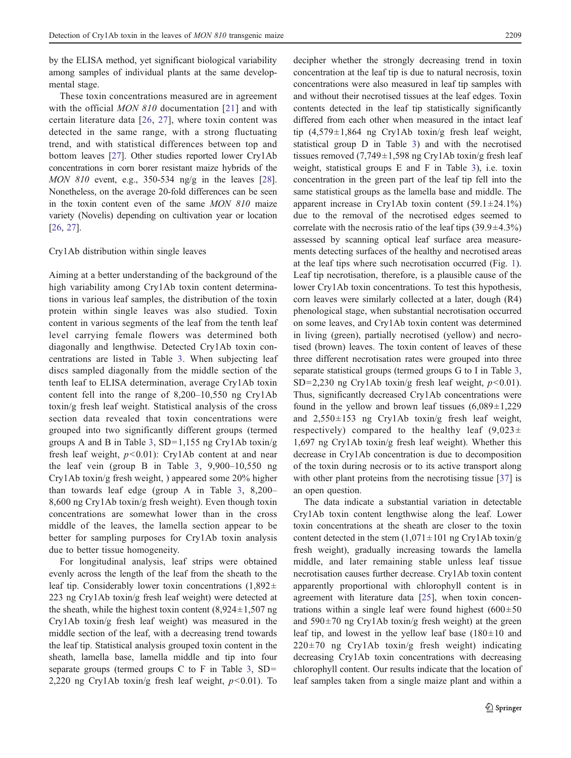by the ELISA method, yet significant biological variability among samples of individual plants at the same developmental stage.

These toxin concentrations measured are in agreement with the official *MON 810* documentation [\[21\]](#page-7-0) and with certain literature data [[26,](#page-7-0) [27](#page-7-0)], where toxin content was detected in the same range, with a strong fluctuating trend, and with statistical differences between top and bottom leaves [[27](#page-7-0)]. Other studies reported lower Cry1Ab concentrations in corn borer resistant maize hybrids of the MON 810 event, e.g., 350-534 ng/g in the leaves [[28\]](#page-7-0). Nonetheless, on the average 20-fold differences can be seen in the toxin content even of the same MON 810 maize variety (Novelis) depending on cultivation year or location [\[26,](#page-7-0) [27](#page-7-0)].

#### Cry1Ab distribution within single leaves

Aiming at a better understanding of the background of the high variability among Cry1Ab toxin content determinations in various leaf samples, the distribution of the toxin protein within single leaves was also studied. Toxin content in various segments of the leaf from the tenth leaf level carrying female flowers was determined both diagonally and lengthwise. Detected Cry1Ab toxin concentrations are listed in Table [3](#page-5-0). When subjecting leaf discs sampled diagonally from the middle section of the tenth leaf to ELISA determination, average Cry1Ab toxin content fell into the range of 8,200–10,550 ng Cry1Ab toxin/g fresh leaf weight. Statistical analysis of the cross section data revealed that toxin concentrations were grouped into two significantly different groups (termed groups A and B in Table [3](#page-5-0),  $SD=1,155$  ng Cry1Ab toxin/g fresh leaf weight,  $p<0.01$ : Cry1Ab content at and near the leaf vein (group B in Table [3](#page-5-0), 9,900–10,550 ng Cry1Ab toxin/g fresh weight, ) appeared some 20% higher than towards leaf edge (group A in Table [3,](#page-5-0) 8,200– 8,600 ng Cry1Ab toxin/g fresh weight). Even though toxin concentrations are somewhat lower than in the cross middle of the leaves, the lamella section appear to be better for sampling purposes for Cry1Ab toxin analysis due to better tissue homogeneity.

For longitudinal analysis, leaf strips were obtained evenly across the length of the leaf from the sheath to the leaf tip. Considerably lower toxin concentrations  $(1,892\pm)$ 223 ng Cry1Ab toxin/g fresh leaf weight) were detected at the sheath, while the highest toxin content  $(8,924 \pm 1,507)$  ng Cry1Ab toxin/g fresh leaf weight) was measured in the middle section of the leaf, with a decreasing trend towards the leaf tip. Statistical analysis grouped toxin content in the sheath, lamella base, lamella middle and tip into four separate groups (termed groups C to F in Table [3](#page-5-0),  $SD=$ 2,220 ng Cry1Ab toxin/g fresh leaf weight,  $p<0.01$ ). To decipher whether the strongly decreasing trend in toxin concentration at the leaf tip is due to natural necrosis, toxin concentrations were also measured in leaf tip samples with and without their necrotised tissues at the leaf edges. Toxin contents detected in the leaf tip statistically significantly differed from each other when measured in the intact leaf tip  $(4,579\pm1,864$  ng Cry1Ab toxin/g fresh leaf weight, statistical group D in Table [3\)](#page-5-0) and with the necrotised tissues removed  $(7,749 \pm 1,598 \text{ ng } Cry1Ab \text{ toxin/g fresh leaf})$ weight, statistical groups E and F in Table [3\)](#page-5-0), i.e. toxin concentration in the green part of the leaf tip fell into the same statistical groups as the lamella base and middle. The apparent increase in Cry1Ab toxin content  $(59.1 \pm 24.1\%)$ due to the removal of the necrotised edges seemed to correlate with the necrosis ratio of the leaf tips  $(39.9 \pm 4.3\%)$ assessed by scanning optical leaf surface area measurements detecting surfaces of the healthy and necrotised areas at the leaf tips where such necrotisation occurred (Fig. [1\)](#page-3-0). Leaf tip necrotisation, therefore, is a plausible cause of the lower Cry1Ab toxin concentrations. To test this hypothesis, corn leaves were similarly collected at a later, dough (R4) phenological stage, when substantial necrotisation occurred on some leaves, and Cry1Ab toxin content was determined in living (green), partially necrotised (yellow) and necrotised (brown) leaves. The toxin content of leaves of these three different necrotisation rates were grouped into three separate statistical groups (termed groups G to I in Table [3,](#page-5-0) SD=2,230 ng Cry1Ab toxin/g fresh leaf weight,  $p<0.01$ ). Thus, significantly decreased Cry1Ab concentrations were found in the yellow and brown leaf tissues  $(6,089 \pm 1,229)$ and 2,550±153 ng Cry1Ab toxin/g fresh leaf weight, respectively) compared to the healthy leaf  $(9,023\pm$ 1,697 ng Cry1Ab toxin/g fresh leaf weight). Whether this decrease in Cry1Ab concentration is due to decomposition of the toxin during necrosis or to its active transport along with other plant proteins from the necrotising tissue [\[37](#page-8-0)] is an open question.

The data indicate a substantial variation in detectable Cry1Ab toxin content lengthwise along the leaf. Lower toxin concentrations at the sheath are closer to the toxin content detected in the stem  $(1,071 \pm 101 \text{ ng } Cry1Ab \text{ toxin/g})$ fresh weight), gradually increasing towards the lamella middle, and later remaining stable unless leaf tissue necrotisation causes further decrease. Cry1Ab toxin content apparently proportional with chlorophyll content is in agreement with literature data [\[25](#page-7-0)], when toxin concentrations within a single leaf were found highest  $(600 \pm 50)$ and  $590\pm70$  ng Cry1Ab toxin/g fresh weight) at the green leaf tip, and lowest in the yellow leaf base  $(180 \pm 10)$  and  $220\pm70$  ng Cry1Ab toxin/g fresh weight) indicating decreasing Cry1Ab toxin concentrations with decreasing chlorophyll content. Our results indicate that the location of leaf samples taken from a single maize plant and within a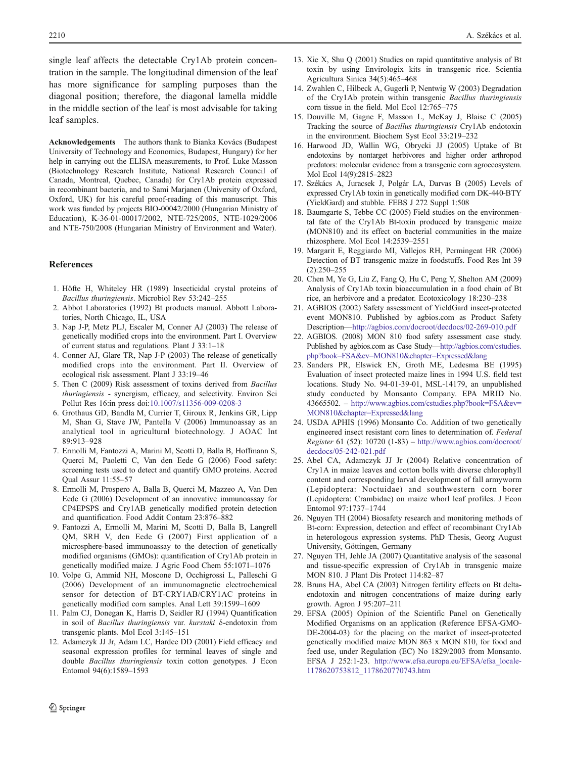<span id="page-7-0"></span>single leaf affects the detectable Cry1Ab protein concentration in the sample. The longitudinal dimension of the leaf has more significance for sampling purposes than the diagonal position; therefore, the diagonal lamella middle in the middle section of the leaf is most advisable for taking leaf samples.

Acknowledgements The authors thank to Bianka Kovács (Budapest University of Technology and Economics, Budapest, Hungary) for her help in carrying out the ELISA measurements, to Prof. Luke Masson (Biotechnology Research Institute, National Research Council of Canada, Montreal, Quebec, Canada) for Cry1Ab protein expressed in recombinant bacteria, and to Sami Marjanen (University of Oxford, Oxford, UK) for his careful proof-reading of this manuscript. This work was funded by projects BIO-00042/2000 (Hungarian Ministry of Education), K-36-01-00017/2002, NTE-725/2005, NTE-1029/2006 and NTE-750/2008 (Hungarian Ministry of Environment and Water).

## References

- 1. Höfte H, Whiteley HR (1989) Insecticidal crystal proteins of Bacillus thuringiensis. Microbiol Rev 53:242–255
- 2. Abbot Laboratories (1992) Bt products manual. Abbott Laboratories, North Chicago, IL, USA
- 3. Nap J-P, Metz PLJ, Escaler M, Conner AJ (2003) The release of genetically modified crops into the environment. Part I. Overview of current status and regulations. Plant J 33:1–18
- 4. Conner AJ, Glare TR, Nap J-P (2003) The release of genetically modified crops into the environment. Part II. Overview of ecological risk assessment. Plant J 33:19–46
- 5. Then C (2009) Risk assessment of toxins derived from Bacillus thuringiensis - synergism, efficacy, and selectivity. Environ Sci Pollut Res 16:in press doi[:10.1007/s11356-009-0208-3](http://dx.doi.org/10.1007/s11356-009-0208-3)
- 6. Grothaus GD, Bandla M, Currier T, Giroux R, Jenkins GR, Lipp M, Shan G, Stave JW, Pantella V (2006) Immunoassay as an analytical tool in agricultural biotechnology. J AOAC Int 89:913–928
- 7. Ermolli M, Fantozzi A, Marini M, Scotti D, Balla B, Hoffmann S, Querci M, Paoletti C, Van den Eede G (2006) Food safety: screening tests used to detect and quantify GMO proteins. Accred Qual Assur 11:55–57
- 8. Ermolli M, Prospero A, Balla B, Querci M, Mazzeo A, Van Den Eede G (2006) Development of an innovative immunoassay for CP4EPSPS and Cry1AB genetically modified protein detection and quantification. Food Addit Contam 23:876–882
- 9. Fantozzi A, Ermolli M, Marini M, Scotti D, Balla B, Langrell QM, SRH V, den Eede G (2007) First application of a microsphere-based immunoassay to the detection of genetically modified organisms (GMOs): quantification of Cry1Ab protein in genetically modified maize. J Agric Food Chem 55:1071–1076
- 10. Volpe G, Ammid NH, Moscone D, Occhigrossi L, Palleschi G (2006) Development of an immunomagnetic electrochemical sensor for detection of BT-CRY1AB/CRY1AC proteins in genetically modified corn samples. Anal Lett 39:1599–1609
- 11. Palm CJ, Donegan K, Harris D, Seidler RJ (1994) Quantification in soil of Bacillus thuringiensis var. kurstaki δ-endotoxin from transgenic plants. Mol Ecol 3:145–151
- 12. Adamczyk JJ Jr, Adam LC, Hardee DD (2001) Field efficacy and seasonal expression profiles for terminal leaves of single and double Bacillus thuringiensis toxin cotton genotypes. J Econ Entomol 94(6):1589–1593
- 13. Xie X, Shu Q (2001) Studies on rapid quantitative analysis of Bt toxin by using Envirologix kits in transgenic rice. Scientia Agricultura Sinica 34(5):465–468
- 14. Zwahlen C, Hilbeck A, Gugerli P, Nentwig W (2003) Degradation of the Cry1Ab protein within transgenic Bacillus thuringiensis corn tissue in the field. Mol Ecol 12:765–775
- 15. Douville M, Gagne F, Masson L, McKay J, Blaise C (2005) Tracking the source of Bacillus thuringiensis Cry1Ab endotoxin in the environment. Biochem Syst Ecol 33:219–232
- 16. Harwood JD, Wallin WG, Obrycki JJ (2005) Uptake of Bt endotoxins by nontarget herbivores and higher order arthropod predators: molecular evidence from a transgenic corn agroecosystem. Mol Ecol 14(9):2815–2823
- 17. Székács A, Juracsek J, Polgár LA, Darvas B (2005) Levels of expressed Cry1Ab toxin in genetically modified corn DK-440-BTY (YieldGard) and stubble. FEBS J 272 Suppl 1:508
- 18. Baumgarte S, Tebbe CC (2005) Field studies on the environmental fate of the Cry1Ab Bt-toxin produced by transgenic maize (MON810) and its effect on bacterial communities in the maize rhizosphere. Mol Ecol 14:2539–2551
- 19. Margarit E, Reggiardo MI, Vallejos RH, Permingeat HR (2006) Detection of BT transgenic maize in foodstuffs. Food Res Int 39 (2):250–255
- 20. Chen M, Ye G, Liu Z, Fang Q, Hu C, Peng Y, Shelton AM (2009) Analysis of Cry1Ab toxin bioaccumulation in a food chain of Bt rice, an herbivore and a predator. Ecotoxicology 18:230–238
- 21. AGBIOS (2002) Safety assessment of YieldGard insect-protected event MON810. Published by agbios.com as Product Safety Description—<http://agbios.com/docroot/decdocs/02-269-010.pdf>
- 22. AGBIOS. (2008) MON 810 food safety assessment case study. Published by agbios.com as Case Study—[http://agbios.com/cstudies.](http://agbios.com/cstudies.php?book=FSA&ev=MON810&chapter=Expressed&lang) [php?book=FSA&ev=MON810&chapter=Expressed&lang](http://agbios.com/cstudies.php?book=FSA&ev=MON810&chapter=Expressed&lang)
- 23. Sanders PR, Elswick EN, Groth ME, Ledesma BE (1995) Evaluation of insect protected maize lines in 1994 U.S. field test locations. Study No. 94-01-39-01, MSL-14179, an unpublished study conducted by Monsanto Company. EPA MRID No. 43665502. – [http://www.agbios.com/cstudies.php?book=FSA&ev=](http://www.agbios.com/cstudies.php?book=FSA&ev=MON810&chapter=Expressed&lang) [MON810&chapter=Expressed&lang](http://www.agbios.com/cstudies.php?book=FSA&ev=MON810&chapter=Expressed&lang)
- 24. USDA APHIS (1996) Monsanto Co. Addition of two genetically engineered insect resistant corn lines to determination of. Federal Register 61 (52): 10720 (1-83) – [http://www.agbios.com/docroot/](http://www.agbios.com/docroot/decdocs/05-242-021.pdf) [decdocs/05-242-021.pdf](http://www.agbios.com/docroot/decdocs/05-242-021.pdf)
- 25. Abel CA, Adamczyk JJ Jr (2004) Relative concentration of Cry1A in maize leaves and cotton bolls with diverse chlorophyll content and corresponding larval development of fall armyworm (Lepidoptera: Noctuidae) and southwestern corn borer (Lepidoptera: Crambidae) on maize whorl leaf profiles. J Econ Entomol 97:1737–1744
- 26. Nguyen TH (2004) Biosafety research and monitoring methods of Bt-corn: Expression, detection and effect of recombinant Cry1Ab in heterologous expression systems. PhD Thesis, Georg August University, Göttingen, Germany
- 27. Nguyen TH, Jehle JA (2007) Quantitative analysis of the seasonal and tissue-specific expression of Cry1Ab in transgenic maize MON 810. J Plant Dis Protect 114:82–87
- 28. Bruns HA, Abel CA (2003) Nitrogen fertility effects on Bt deltaendotoxin and nitrogen concentrations of maize during early growth. Agron J 95:207–211
- 29. EFSA (2005) Opinion of the Scientific Panel on Genetically Modified Organisms on an application (Reference EFSA-GMO-DE-2004-03) for the placing on the market of insect-protected genetically modified maize MON 863 x MON 810, for food and feed use, under Regulation (EC) No 1829/2003 from Monsanto. EFSA J 252:1-23. [http://www.efsa.europa.eu/EFSA/efsa\\_locale-](http://www.efsa.europa.eu/EFSA/efsa_locale-1178620753812_1178620770743.htm)[1178620753812\\_1178620770743.htm](http://www.efsa.europa.eu/EFSA/efsa_locale-1178620753812_1178620770743.htm)